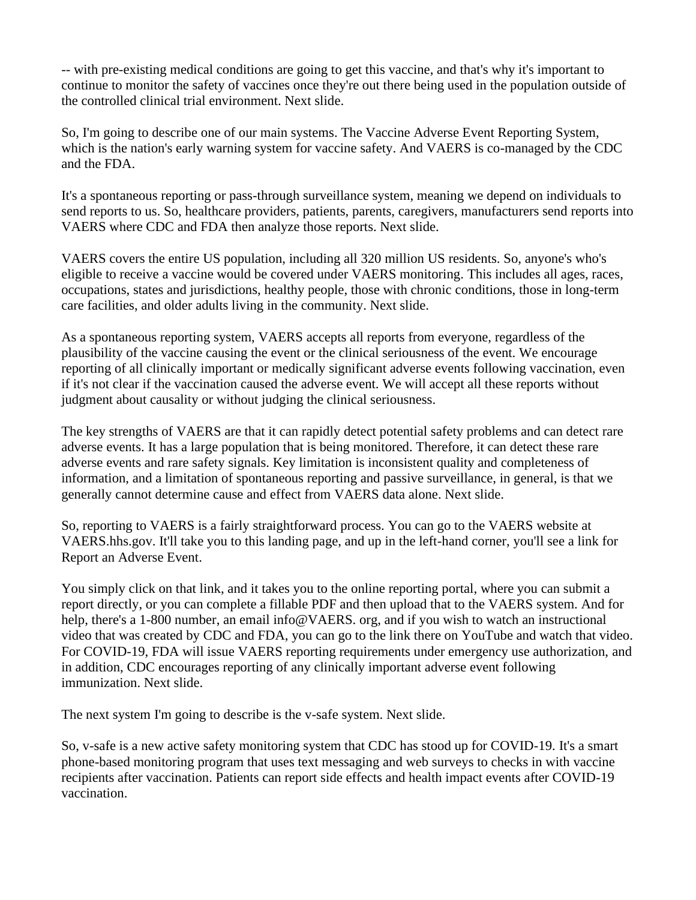-- with pre-existing medical conditions are going to get this vaccine, and that's why it's important to continue to monitor the safety of vaccines once they're out there being used in the population outside of the controlled clinical trial environment. Next slide.

So, I'm going to describe one of our main systems. The Vaccine Adverse Event Reporting System, which is the nation's early warning system for vaccine safety. And VAERS is co-managed by the CDC and the FDA.

It's a spontaneous reporting or pass-through surveillance system, meaning we depend on individuals to send reports to us. So, healthcare providers, patients, parents, caregivers, manufacturers send reports into VAERS where CDC and FDA then analyze those reports. Next slide.

VAERS covers the entire US population, including all 320 million US residents. So, anyone's who's eligible to receive a vaccine would be covered under VAERS monitoring. This includes all ages, races, occupations, states and jurisdictions, healthy people, those with chronic conditions, those in long-term care facilities, and older adults living in the community. Next slide.

As a spontaneous reporting system, VAERS accepts all reports from everyone, regardless of the plausibility of the vaccine causing the event or the clinical seriousness of the event. We encourage reporting of all clinically important or medically significant adverse events following vaccination, even if it's not clear if the vaccination caused the adverse event. We will accept all these reports without judgment about causality or without judging the clinical seriousness.

The key strengths of VAERS are that it can rapidly detect potential safety problems and can detect rare adverse events. It has a large population that is being monitored. Therefore, it can detect these rare adverse events and rare safety signals. Key limitation is inconsistent quality and completeness of information, and a limitation of spontaneous reporting and passive surveillance, in general, is that we generally cannot determine cause and effect from VAERS data alone. Next slide.

So, reporting to VAERS is a fairly straightforward process. You can go to the VAERS website at VAERS.hhs.gov. It'll take you to this landing page, and up in the left-hand corner, you'll see a link for Report an Adverse Event.

You simply click on that link, and it takes you to the online reporting portal, where you can submit a report directly, or you can complete a fillable PDF and then upload that to the VAERS system. And for help, there's a 1-800 number, an email info@VAERS. org, and if you wish to watch an instructional video that was created by CDC and FDA, you can go to the link there on YouTube and watch that video. For COVID-19, FDA will issue VAERS reporting requirements under emergency use authorization, and in addition, CDC encourages reporting of any clinically important adverse event following immunization. Next slide.

The next system I'm going to describe is the v-safe system. Next slide.

So, v-safe is a new active safety monitoring system that CDC has stood up for COVID-19. It's a smart phone-based monitoring program that uses text messaging and web surveys to checks in with vaccine recipients after vaccination. Patients can report side effects and health impact events after COVID-19 vaccination.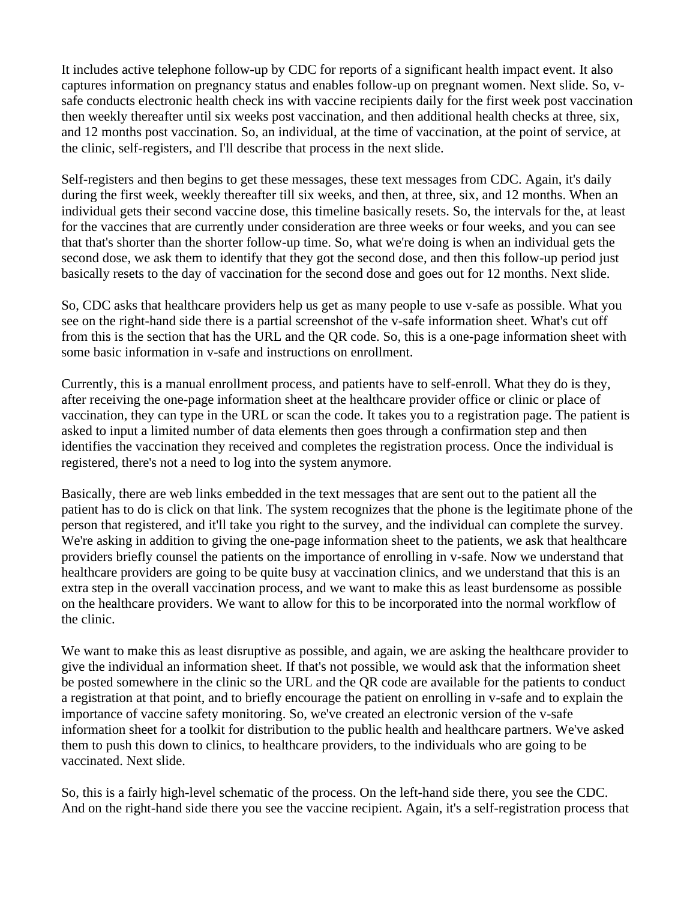It includes active telephone follow-up by CDC for reports of a significant health impact event. It also captures information on pregnancy status and enables follow-up on pregnant women. Next slide. So, vsafe conducts electronic health check ins with vaccine recipients daily for the first week post vaccination then weekly thereafter until six weeks post vaccination, and then additional health checks at three, six, and 12 months post vaccination. So, an individual, at the time of vaccination, at the point of service, at the clinic, self-registers, and I'll describe that process in the next slide.

Self-registers and then begins to get these messages, these text messages from CDC. Again, it's daily during the first week, weekly thereafter till six weeks, and then, at three, six, and 12 months. When an individual gets their second vaccine dose, this timeline basically resets. So, the intervals for the, at least for the vaccines that are currently under consideration are three weeks or four weeks, and you can see that that's shorter than the shorter follow-up time. So, what we're doing is when an individual gets the second dose, we ask them to identify that they got the second dose, and then this follow-up period just basically resets to the day of vaccination for the second dose and goes out for 12 months. Next slide.

So, CDC asks that healthcare providers help us get as many people to use v-safe as possible. What you see on the right-hand side there is a partial screenshot of the v-safe information sheet. What's cut off from this is the section that has the URL and the QR code. So, this is a one-page information sheet with some basic information in v-safe and instructions on enrollment.

Currently, this is a manual enrollment process, and patients have to self-enroll. What they do is they, after receiving the one-page information sheet at the healthcare provider office or clinic or place of vaccination, they can type in the URL or scan the code. It takes you to a registration page. The patient is asked to input a limited number of data elements then goes through a confirmation step and then identifies the vaccination they received and completes the registration process. Once the individual is registered, there's not a need to log into the system anymore.

Basically, there are web links embedded in the text messages that are sent out to the patient all the patient has to do is click on that link. The system recognizes that the phone is the legitimate phone of the person that registered, and it'll take you right to the survey, and the individual can complete the survey. We're asking in addition to giving the one-page information sheet to the patients, we ask that healthcare providers briefly counsel the patients on the importance of enrolling in v-safe. Now we understand that healthcare providers are going to be quite busy at vaccination clinics, and we understand that this is an extra step in the overall vaccination process, and we want to make this as least burdensome as possible on the healthcare providers. We want to allow for this to be incorporated into the normal workflow of the clinic.

We want to make this as least disruptive as possible, and again, we are asking the healthcare provider to give the individual an information sheet. If that's not possible, we would ask that the information sheet be posted somewhere in the clinic so the URL and the QR code are available for the patients to conduct a registration at that point, and to briefly encourage the patient on enrolling in v-safe and to explain the importance of vaccine safety monitoring. So, we've created an electronic version of the v-safe information sheet for a toolkit for distribution to the public health and healthcare partners. We've asked them to push this down to clinics, to healthcare providers, to the individuals who are going to be vaccinated. Next slide.

So, this is a fairly high-level schematic of the process. On the left-hand side there, you see the CDC. And on the right-hand side there you see the vaccine recipient. Again, it's a self-registration process that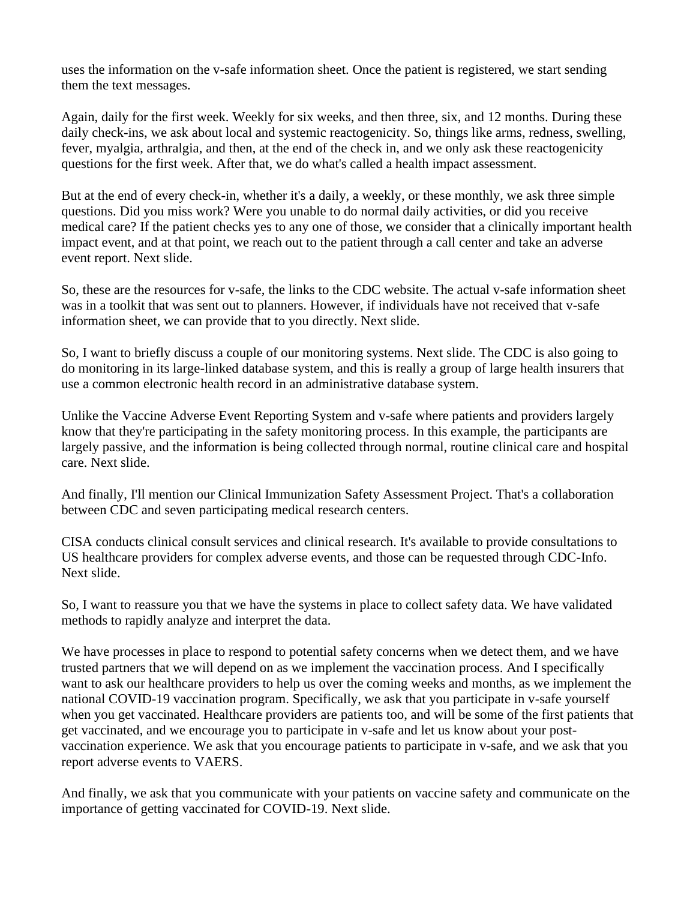uses the information on the v-safe information sheet. Once the patient is registered, we start sending them the text messages.

Again, daily for the first week. Weekly for six weeks, and then three, six, and 12 months. During these daily check-ins, we ask about local and systemic reactogenicity. So, things like arms, redness, swelling, fever, myalgia, arthralgia, and then, at the end of the check in, and we only ask these reactogenicity questions for the first week. After that, we do what's called a health impact assessment.

But at the end of every check-in, whether it's a daily, a weekly, or these monthly, we ask three simple questions. Did you miss work? Were you unable to do normal daily activities, or did you receive medical care? If the patient checks yes to any one of those, we consider that a clinically important health impact event, and at that point, we reach out to the patient through a call center and take an adverse event report. Next slide.

So, these are the resources for v-safe, the links to the CDC website. The actual v-safe information sheet was in a toolkit that was sent out to planners. However, if individuals have not received that v-safe information sheet, we can provide that to you directly. Next slide.

So, I want to briefly discuss a couple of our monitoring systems. Next slide. The CDC is also going to do monitoring in its large-linked database system, and this is really a group of large health insurers that use a common electronic health record in an administrative database system.

Unlike the Vaccine Adverse Event Reporting System and v-safe where patients and providers largely know that they're participating in the safety monitoring process. In this example, the participants are largely passive, and the information is being collected through normal, routine clinical care and hospital care. Next slide.

And finally, I'll mention our Clinical Immunization Safety Assessment Project. That's a collaboration between CDC and seven participating medical research centers.

CISA conducts clinical consult services and clinical research. It's available to provide consultations to US healthcare providers for complex adverse events, and those can be requested through CDC-Info. Next slide.

So, I want to reassure you that we have the systems in place to collect safety data. We have validated methods to rapidly analyze and interpret the data.

We have processes in place to respond to potential safety concerns when we detect them, and we have trusted partners that we will depend on as we implement the vaccination process. And I specifically want to ask our healthcare providers to help us over the coming weeks and months, as we implement the national COVID-19 vaccination program. Specifically, we ask that you participate in v-safe yourself when you get vaccinated. Healthcare providers are patients too, and will be some of the first patients that get vaccinated, and we encourage you to participate in v-safe and let us know about your postvaccination experience. We ask that you encourage patients to participate in v-safe, and we ask that you report adverse events to VAERS.

And finally, we ask that you communicate with your patients on vaccine safety and communicate on the importance of getting vaccinated for COVID-19. Next slide.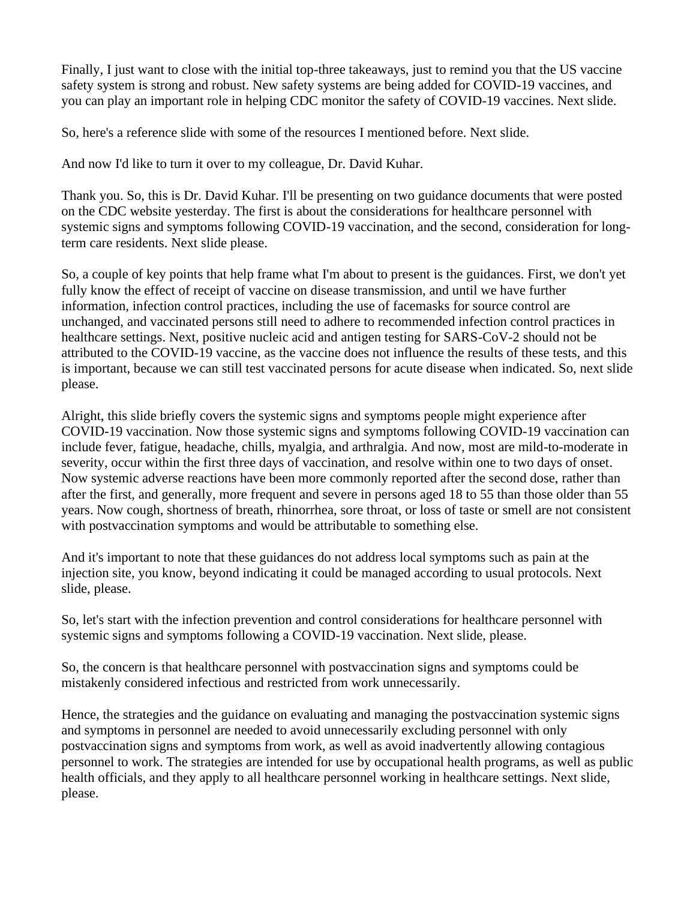Finally, I just want to close with the initial top-three takeaways, just to remind you that the US vaccine safety system is strong and robust. New safety systems are being added for COVID-19 vaccines, and you can play an important role in helping CDC monitor the safety of COVID-19 vaccines. Next slide.

So, here's a reference slide with some of the resources I mentioned before. Next slide.

And now I'd like to turn it over to my colleague, Dr. David Kuhar.

Thank you. So, this is Dr. David Kuhar. I'll be presenting on two guidance documents that were posted on the CDC website yesterday. The first is about the considerations for healthcare personnel with systemic signs and symptoms following COVID-19 vaccination, and the second, consideration for longterm care residents. Next slide please.

So, a couple of key points that help frame what I'm about to present is the guidances. First, we don't yet fully know the effect of receipt of vaccine on disease transmission, and until we have further information, infection control practices, including the use of facemasks for source control are unchanged, and vaccinated persons still need to adhere to recommended infection control practices in healthcare settings. Next, positive nucleic acid and antigen testing for SARS-CoV-2 should not be attributed to the COVID-19 vaccine, as the vaccine does not influence the results of these tests, and this is important, because we can still test vaccinated persons for acute disease when indicated. So, next slide please.

Alright, this slide briefly covers the systemic signs and symptoms people might experience after COVID-19 vaccination. Now those systemic signs and symptoms following COVID-19 vaccination can include fever, fatigue, headache, chills, myalgia, and arthralgia. And now, most are mild-to-moderate in severity, occur within the first three days of vaccination, and resolve within one to two days of onset. Now systemic adverse reactions have been more commonly reported after the second dose, rather than after the first, and generally, more frequent and severe in persons aged 18 to 55 than those older than 55 years. Now cough, shortness of breath, rhinorrhea, sore throat, or loss of taste or smell are not consistent with postvaccination symptoms and would be attributable to something else.

And it's important to note that these guidances do not address local symptoms such as pain at the injection site, you know, beyond indicating it could be managed according to usual protocols. Next slide, please.

So, let's start with the infection prevention and control considerations for healthcare personnel with systemic signs and symptoms following a COVID-19 vaccination. Next slide, please.

So, the concern is that healthcare personnel with postvaccination signs and symptoms could be mistakenly considered infectious and restricted from work unnecessarily.

Hence, the strategies and the guidance on evaluating and managing the postvaccination systemic signs and symptoms in personnel are needed to avoid unnecessarily excluding personnel with only postvaccination signs and symptoms from work, as well as avoid inadvertently allowing contagious personnel to work. The strategies are intended for use by occupational health programs, as well as public health officials, and they apply to all healthcare personnel working in healthcare settings. Next slide, please.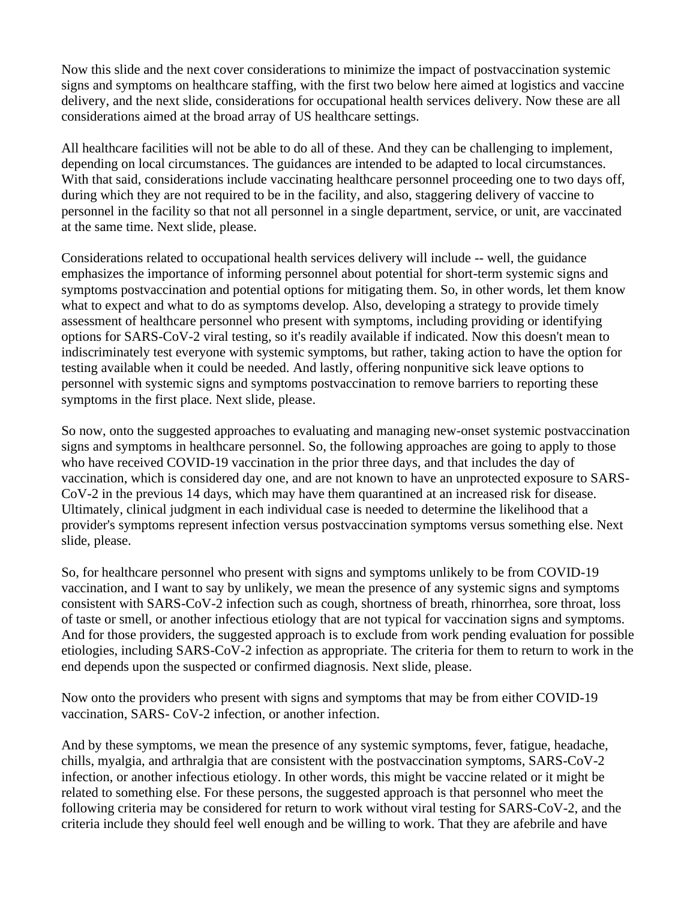Now this slide and the next cover considerations to minimize the impact of postvaccination systemic signs and symptoms on healthcare staffing, with the first two below here aimed at logistics and vaccine delivery, and the next slide, considerations for occupational health services delivery. Now these are all considerations aimed at the broad array of US healthcare settings.

All healthcare facilities will not be able to do all of these. And they can be challenging to implement, depending on local circumstances. The guidances are intended to be adapted to local circumstances. With that said, considerations include vaccinating healthcare personnel proceeding one to two days off, during which they are not required to be in the facility, and also, staggering delivery of vaccine to personnel in the facility so that not all personnel in a single department, service, or unit, are vaccinated at the same time. Next slide, please.

Considerations related to occupational health services delivery will include -- well, the guidance emphasizes the importance of informing personnel about potential for short-term systemic signs and symptoms postvaccination and potential options for mitigating them. So, in other words, let them know what to expect and what to do as symptoms develop. Also, developing a strategy to provide timely assessment of healthcare personnel who present with symptoms, including providing or identifying options for SARS-CoV-2 viral testing, so it's readily available if indicated. Now this doesn't mean to indiscriminately test everyone with systemic symptoms, but rather, taking action to have the option for testing available when it could be needed. And lastly, offering nonpunitive sick leave options to personnel with systemic signs and symptoms postvaccination to remove barriers to reporting these symptoms in the first place. Next slide, please.

So now, onto the suggested approaches to evaluating and managing new-onset systemic postvaccination signs and symptoms in healthcare personnel. So, the following approaches are going to apply to those who have received COVID-19 vaccination in the prior three days, and that includes the day of vaccination, which is considered day one, and are not known to have an unprotected exposure to SARS-CoV-2 in the previous 14 days, which may have them quarantined at an increased risk for disease. Ultimately, clinical judgment in each individual case is needed to determine the likelihood that a provider's symptoms represent infection versus postvaccination symptoms versus something else. Next slide, please.

So, for healthcare personnel who present with signs and symptoms unlikely to be from COVID-19 vaccination, and I want to say by unlikely, we mean the presence of any systemic signs and symptoms consistent with SARS-CoV-2 infection such as cough, shortness of breath, rhinorrhea, sore throat, loss of taste or smell, or another infectious etiology that are not typical for vaccination signs and symptoms. And for those providers, the suggested approach is to exclude from work pending evaluation for possible etiologies, including SARS-CoV-2 infection as appropriate. The criteria for them to return to work in the end depends upon the suspected or confirmed diagnosis. Next slide, please.

Now onto the providers who present with signs and symptoms that may be from either COVID-19 vaccination, SARS- CoV-2 infection, or another infection.

And by these symptoms, we mean the presence of any systemic symptoms, fever, fatigue, headache, chills, myalgia, and arthralgia that are consistent with the postvaccination symptoms, SARS-CoV-2 infection, or another infectious etiology. In other words, this might be vaccine related or it might be related to something else. For these persons, the suggested approach is that personnel who meet the following criteria may be considered for return to work without viral testing for SARS-CoV-2, and the criteria include they should feel well enough and be willing to work. That they are afebrile and have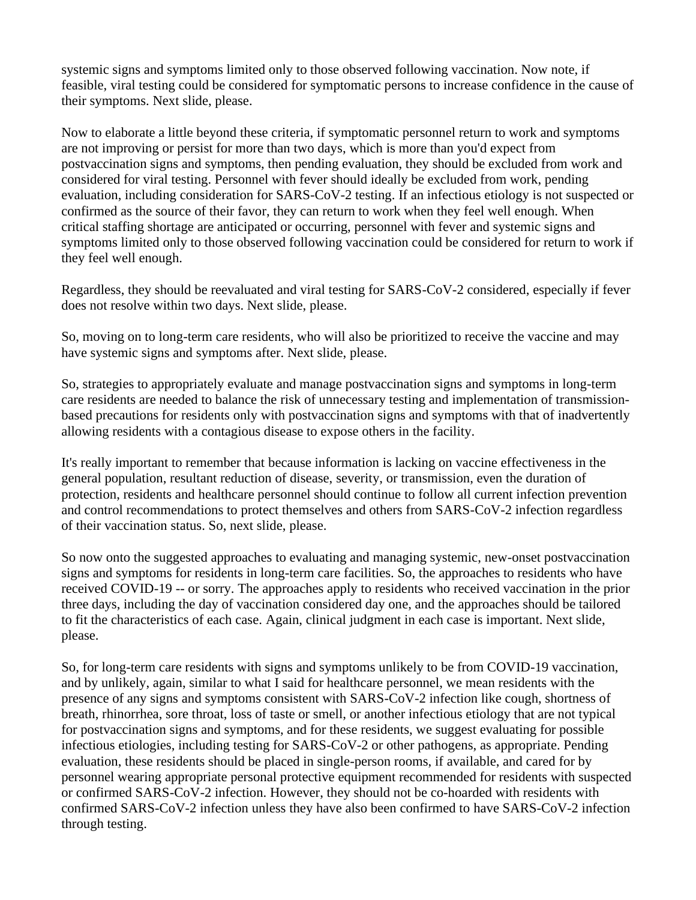systemic signs and symptoms limited only to those observed following vaccination. Now note, if feasible, viral testing could be considered for symptomatic persons to increase confidence in the cause of their symptoms. Next slide, please.

Now to elaborate a little beyond these criteria, if symptomatic personnel return to work and symptoms are not improving or persist for more than two days, which is more than you'd expect from postvaccination signs and symptoms, then pending evaluation, they should be excluded from work and considered for viral testing. Personnel with fever should ideally be excluded from work, pending evaluation, including consideration for SARS-CoV-2 testing. If an infectious etiology is not suspected or confirmed as the source of their favor, they can return to work when they feel well enough. When critical staffing shortage are anticipated or occurring, personnel with fever and systemic signs and symptoms limited only to those observed following vaccination could be considered for return to work if they feel well enough.

Regardless, they should be reevaluated and viral testing for SARS-CoV-2 considered, especially if fever does not resolve within two days. Next slide, please.

So, moving on to long-term care residents, who will also be prioritized to receive the vaccine and may have systemic signs and symptoms after. Next slide, please.

So, strategies to appropriately evaluate and manage postvaccination signs and symptoms in long-term care residents are needed to balance the risk of unnecessary testing and implementation of transmissionbased precautions for residents only with postvaccination signs and symptoms with that of inadvertently allowing residents with a contagious disease to expose others in the facility.

It's really important to remember that because information is lacking on vaccine effectiveness in the general population, resultant reduction of disease, severity, or transmission, even the duration of protection, residents and healthcare personnel should continue to follow all current infection prevention and control recommendations to protect themselves and others from SARS-CoV-2 infection regardless of their vaccination status. So, next slide, please.

So now onto the suggested approaches to evaluating and managing systemic, new-onset postvaccination signs and symptoms for residents in long-term care facilities. So, the approaches to residents who have received COVID-19 -- or sorry. The approaches apply to residents who received vaccination in the prior three days, including the day of vaccination considered day one, and the approaches should be tailored to fit the characteristics of each case. Again, clinical judgment in each case is important. Next slide, please.

So, for long-term care residents with signs and symptoms unlikely to be from COVID-19 vaccination, and by unlikely, again, similar to what I said for healthcare personnel, we mean residents with the presence of any signs and symptoms consistent with SARS-CoV-2 infection like cough, shortness of breath, rhinorrhea, sore throat, loss of taste or smell, or another infectious etiology that are not typical for postvaccination signs and symptoms, and for these residents, we suggest evaluating for possible infectious etiologies, including testing for SARS-CoV-2 or other pathogens, as appropriate. Pending evaluation, these residents should be placed in single-person rooms, if available, and cared for by personnel wearing appropriate personal protective equipment recommended for residents with suspected or confirmed SARS-CoV-2 infection. However, they should not be co-hoarded with residents with confirmed SARS-CoV-2 infection unless they have also been confirmed to have SARS-CoV-2 infection through testing.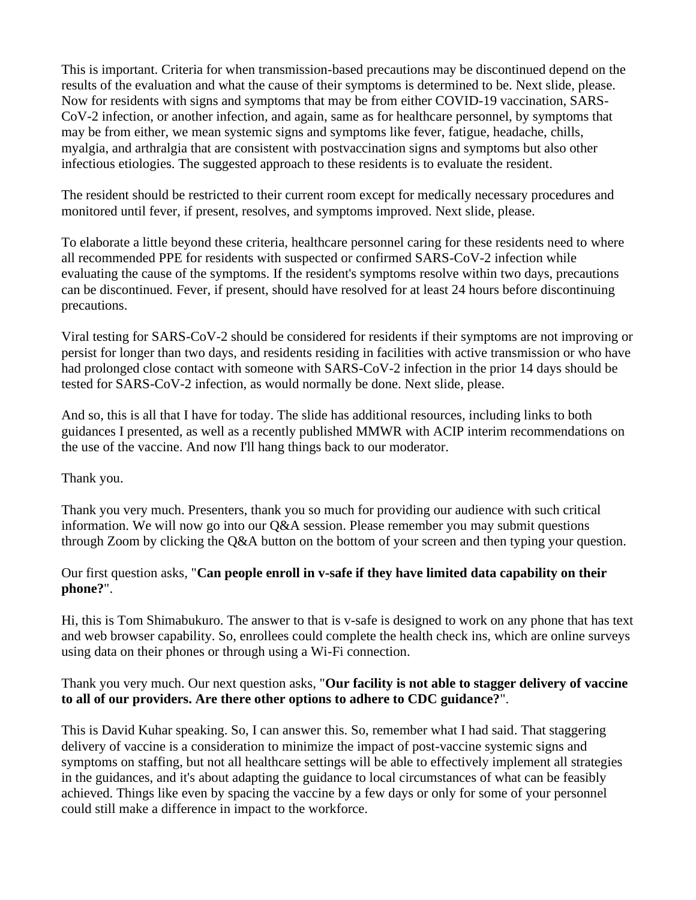This is important. Criteria for when transmission-based precautions may be discontinued depend on the results of the evaluation and what the cause of their symptoms is determined to be. Next slide, please. Now for residents with signs and symptoms that may be from either COVID-19 vaccination, SARS-CoV-2 infection, or another infection, and again, same as for healthcare personnel, by symptoms that may be from either, we mean systemic signs and symptoms like fever, fatigue, headache, chills, myalgia, and arthralgia that are consistent with postvaccination signs and symptoms but also other infectious etiologies. The suggested approach to these residents is to evaluate the resident.

The resident should be restricted to their current room except for medically necessary procedures and monitored until fever, if present, resolves, and symptoms improved. Next slide, please.

To elaborate a little beyond these criteria, healthcare personnel caring for these residents need to where all recommended PPE for residents with suspected or confirmed SARS-CoV-2 infection while evaluating the cause of the symptoms. If the resident's symptoms resolve within two days, precautions can be discontinued. Fever, if present, should have resolved for at least 24 hours before discontinuing precautions.

Viral testing for SARS-CoV-2 should be considered for residents if their symptoms are not improving or persist for longer than two days, and residents residing in facilities with active transmission or who have had prolonged close contact with someone with SARS-CoV-2 infection in the prior 14 days should be tested for SARS-CoV-2 infection, as would normally be done. Next slide, please.

And so, this is all that I have for today. The slide has additional resources, including links to both guidances I presented, as well as a recently published MMWR with ACIP interim recommendations on the use of the vaccine. And now I'll hang things back to our moderator.

# Thank you.

Thank you very much. Presenters, thank you so much for providing our audience with such critical information. We will now go into our  $Q&A$  session. Please remember you may submit questions through Zoom by clicking the Q&A button on the bottom of your screen and then typing your question.

### Our first question asks, "**Can people enroll in v-safe if they have limited data capability on their phone?**".

Hi, this is Tom Shimabukuro. The answer to that is v-safe is designed to work on any phone that has text and web browser capability. So, enrollees could complete the health check ins, which are online surveys using data on their phones or through using a Wi-Fi connection.

### Thank you very much. Our next question asks, "**Our facility is not able to stagger delivery of vaccine to all of our providers. Are there other options to adhere to CDC guidance?**".

This is David Kuhar speaking. So, I can answer this. So, remember what I had said. That staggering delivery of vaccine is a consideration to minimize the impact of post-vaccine systemic signs and symptoms on staffing, but not all healthcare settings will be able to effectively implement all strategies in the guidances, and it's about adapting the guidance to local circumstances of what can be feasibly achieved. Things like even by spacing the vaccine by a few days or only for some of your personnel could still make a difference in impact to the workforce.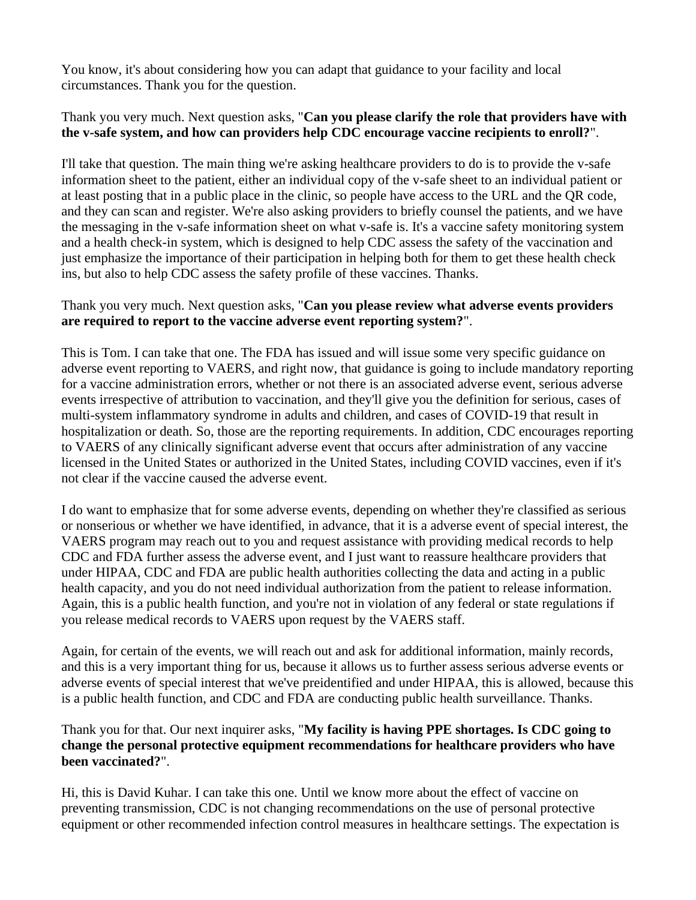You know, it's about considering how you can adapt that guidance to your facility and local circumstances. Thank you for the question.

# Thank you very much. Next question asks, "**Can you please clarify the role that providers have with the v-safe system, and how can providers help CDC encourage vaccine recipients to enroll?**".

I'll take that question. The main thing we're asking healthcare providers to do is to provide the v-safe information sheet to the patient, either an individual copy of the v-safe sheet to an individual patient or at least posting that in a public place in the clinic, so people have access to the URL and the QR code, and they can scan and register. We're also asking providers to briefly counsel the patients, and we have the messaging in the v-safe information sheet on what v-safe is. It's a vaccine safety monitoring system and a health check-in system, which is designed to help CDC assess the safety of the vaccination and just emphasize the importance of their participation in helping both for them to get these health check ins, but also to help CDC assess the safety profile of these vaccines. Thanks.

### Thank you very much. Next question asks, "**Can you please review what adverse events providers are required to report to the vaccine adverse event reporting system?**".

This is Tom. I can take that one. The FDA has issued and will issue some very specific guidance on adverse event reporting to VAERS, and right now, that guidance is going to include mandatory reporting for a vaccine administration errors, whether or not there is an associated adverse event, serious adverse events irrespective of attribution to vaccination, and they'll give you the definition for serious, cases of multi-system inflammatory syndrome in adults and children, and cases of COVID-19 that result in hospitalization or death. So, those are the reporting requirements. In addition, CDC encourages reporting to VAERS of any clinically significant adverse event that occurs after administration of any vaccine licensed in the United States or authorized in the United States, including COVID vaccines, even if it's not clear if the vaccine caused the adverse event.

I do want to emphasize that for some adverse events, depending on whether they're classified as serious or nonserious or whether we have identified, in advance, that it is a adverse event of special interest, the VAERS program may reach out to you and request assistance with providing medical records to help CDC and FDA further assess the adverse event, and I just want to reassure healthcare providers that under HIPAA, CDC and FDA are public health authorities collecting the data and acting in a public health capacity, and you do not need individual authorization from the patient to release information. Again, this is a public health function, and you're not in violation of any federal or state regulations if you release medical records to VAERS upon request by the VAERS staff.

Again, for certain of the events, we will reach out and ask for additional information, mainly records, and this is a very important thing for us, because it allows us to further assess serious adverse events or adverse events of special interest that we've preidentified and under HIPAA, this is allowed, because this is a public health function, and CDC and FDA are conducting public health surveillance. Thanks.

### Thank you for that. Our next inquirer asks, "**My facility is having PPE shortages. Is CDC going to change the personal protective equipment recommendations for healthcare providers who have been vaccinated?**".

Hi, this is David Kuhar. I can take this one. Until we know more about the effect of vaccine on preventing transmission, CDC is not changing recommendations on the use of personal protective equipment or other recommended infection control measures in healthcare settings. The expectation is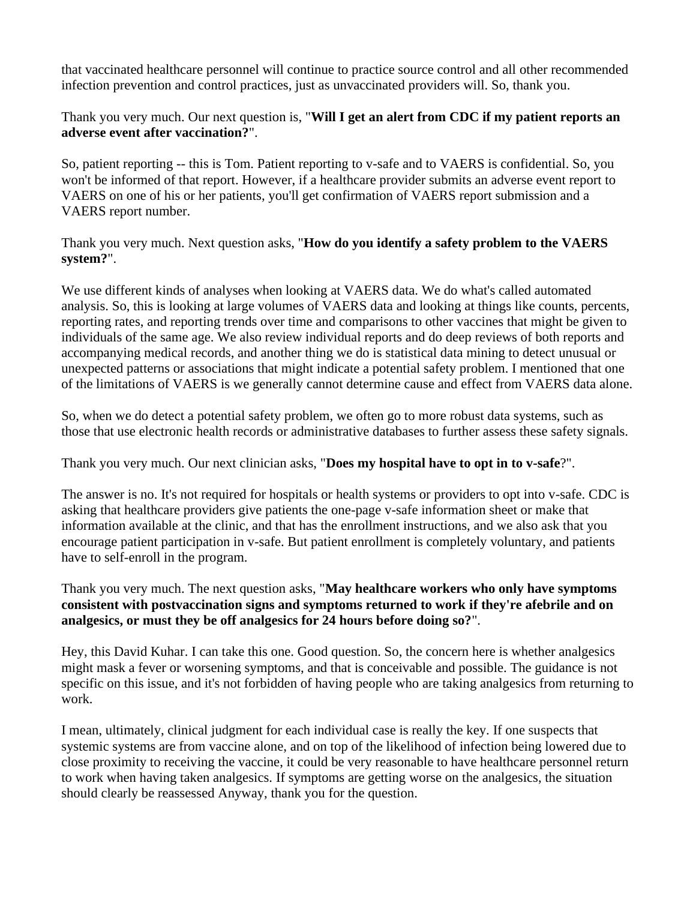that vaccinated healthcare personnel will continue to practice source control and all other recommended infection prevention and control practices, just as unvaccinated providers will. So, thank you.

Thank you very much. Our next question is, "**Will I get an alert from CDC if my patient reports an adverse event after vaccination?**".

So, patient reporting -- this is Tom. Patient reporting to v-safe and to VAERS is confidential. So, you won't be informed of that report. However, if a healthcare provider submits an adverse event report to VAERS on one of his or her patients, you'll get confirmation of VAERS report submission and a VAERS report number.

Thank you very much. Next question asks, "**How do you identify a safety problem to the VAERS system?**".

We use different kinds of analyses when looking at VAERS data. We do what's called automated analysis. So, this is looking at large volumes of VAERS data and looking at things like counts, percents, reporting rates, and reporting trends over time and comparisons to other vaccines that might be given to individuals of the same age. We also review individual reports and do deep reviews of both reports and accompanying medical records, and another thing we do is statistical data mining to detect unusual or unexpected patterns or associations that might indicate a potential safety problem. I mentioned that one of the limitations of VAERS is we generally cannot determine cause and effect from VAERS data alone.

So, when we do detect a potential safety problem, we often go to more robust data systems, such as those that use electronic health records or administrative databases to further assess these safety signals.

Thank you very much. Our next clinician asks, "**Does my hospital have to opt in to v-safe**?".

The answer is no. It's not required for hospitals or health systems or providers to opt into v-safe. CDC is asking that healthcare providers give patients the one-page v-safe information sheet or make that information available at the clinic, and that has the enrollment instructions, and we also ask that you encourage patient participation in v-safe. But patient enrollment is completely voluntary, and patients have to self-enroll in the program.

Thank you very much. The next question asks, "**May healthcare workers who only have symptoms consistent with postvaccination signs and symptoms returned to work if they're afebrile and on analgesics, or must they be off analgesics for 24 hours before doing so?**".

Hey, this David Kuhar. I can take this one. Good question. So, the concern here is whether analgesics might mask a fever or worsening symptoms, and that is conceivable and possible. The guidance is not specific on this issue, and it's not forbidden of having people who are taking analgesics from returning to work.

I mean, ultimately, clinical judgment for each individual case is really the key. If one suspects that systemic systems are from vaccine alone, and on top of the likelihood of infection being lowered due to close proximity to receiving the vaccine, it could be very reasonable to have healthcare personnel return to work when having taken analgesics. If symptoms are getting worse on the analgesics, the situation should clearly be reassessed Anyway, thank you for the question.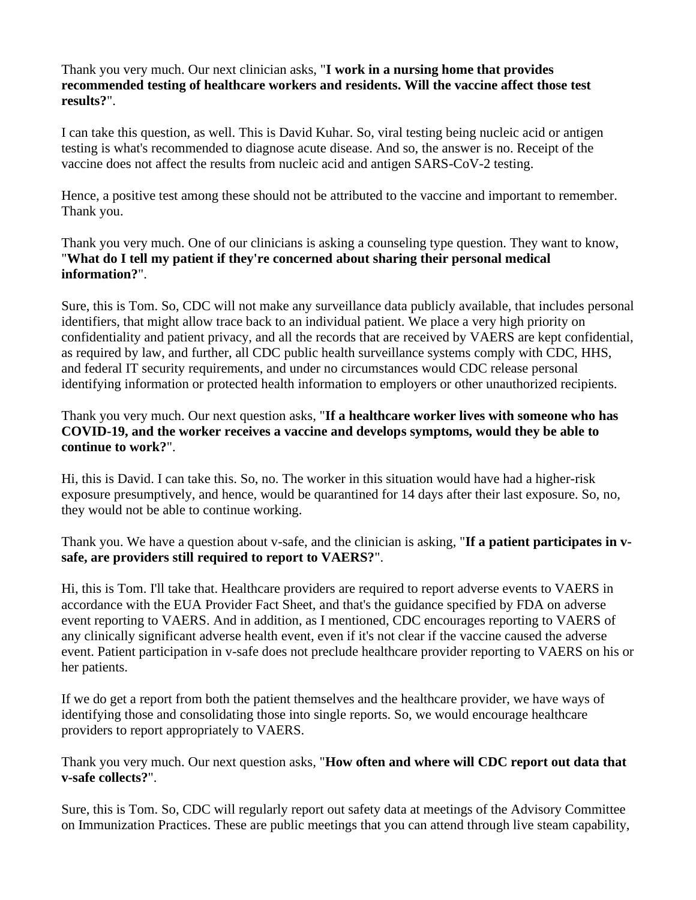Thank you very much. Our next clinician asks, "**I work in a nursing home that provides recommended testing of healthcare workers and residents. Will the vaccine affect those test results?**".

I can take this question, as well. This is David Kuhar. So, viral testing being nucleic acid or antigen testing is what's recommended to diagnose acute disease. And so, the answer is no. Receipt of the vaccine does not affect the results from nucleic acid and antigen SARS-CoV-2 testing.

Hence, a positive test among these should not be attributed to the vaccine and important to remember. Thank you.

Thank you very much. One of our clinicians is asking a counseling type question. They want to know, "**What do I tell my patient if they're concerned about sharing their personal medical information?**".

Sure, this is Tom. So, CDC will not make any surveillance data publicly available, that includes personal identifiers, that might allow trace back to an individual patient. We place a very high priority on confidentiality and patient privacy, and all the records that are received by VAERS are kept confidential, as required by law, and further, all CDC public health surveillance systems comply with CDC, HHS, and federal IT security requirements, and under no circumstances would CDC release personal identifying information or protected health information to employers or other unauthorized recipients.

Thank you very much. Our next question asks, "**If a healthcare worker lives with someone who has COVID-19, and the worker receives a vaccine and develops symptoms, would they be able to continue to work?**".

Hi, this is David. I can take this. So, no. The worker in this situation would have had a higher-risk exposure presumptively, and hence, would be quarantined for 14 days after their last exposure. So, no, they would not be able to continue working.

Thank you. We have a question about v-safe, and the clinician is asking, "**If a patient participates in vsafe, are providers still required to report to VAERS?**".

Hi, this is Tom. I'll take that. Healthcare providers are required to report adverse events to VAERS in accordance with the EUA Provider Fact Sheet, and that's the guidance specified by FDA on adverse event reporting to VAERS. And in addition, as I mentioned, CDC encourages reporting to VAERS of any clinically significant adverse health event, even if it's not clear if the vaccine caused the adverse event. Patient participation in v-safe does not preclude healthcare provider reporting to VAERS on his or her patients.

If we do get a report from both the patient themselves and the healthcare provider, we have ways of identifying those and consolidating those into single reports. So, we would encourage healthcare providers to report appropriately to VAERS.

Thank you very much. Our next question asks, "**How often and where will CDC report out data that v-safe collects?**".

Sure, this is Tom. So, CDC will regularly report out safety data at meetings of the Advisory Committee on Immunization Practices. These are public meetings that you can attend through live steam capability,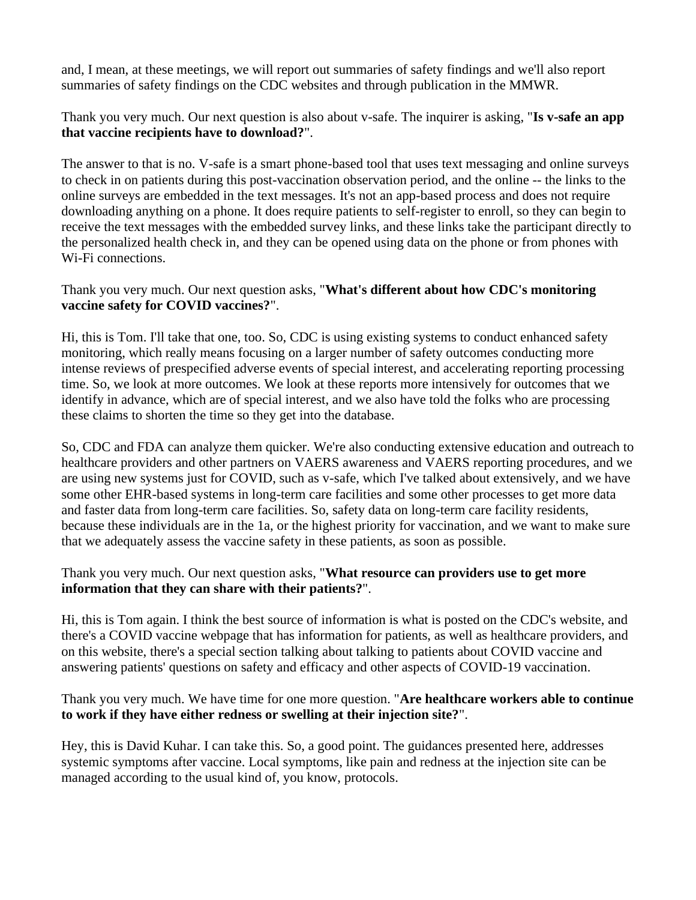and, I mean, at these meetings, we will report out summaries of safety findings and we'll also report summaries of safety findings on the CDC websites and through publication in the MMWR.

Thank you very much. Our next question is also about v-safe. The inquirer is asking, "**Is v-safe an app that vaccine recipients have to download?**".

The answer to that is no. V-safe is a smart phone-based tool that uses text messaging and online surveys to check in on patients during this post-vaccination observation period, and the online -- the links to the online surveys are embedded in the text messages. It's not an app-based process and does not require downloading anything on a phone. It does require patients to self-register to enroll, so they can begin to receive the text messages with the embedded survey links, and these links take the participant directly to the personalized health check in, and they can be opened using data on the phone or from phones with Wi-Fi connections.

# Thank you very much. Our next question asks, "**What's different about how CDC's monitoring vaccine safety for COVID vaccines?**".

Hi, this is Tom. I'll take that one, too. So, CDC is using existing systems to conduct enhanced safety monitoring, which really means focusing on a larger number of safety outcomes conducting more intense reviews of prespecified adverse events of special interest, and accelerating reporting processing time. So, we look at more outcomes. We look at these reports more intensively for outcomes that we identify in advance, which are of special interest, and we also have told the folks who are processing these claims to shorten the time so they get into the database.

So, CDC and FDA can analyze them quicker. We're also conducting extensive education and outreach to healthcare providers and other partners on VAERS awareness and VAERS reporting procedures, and we are using new systems just for COVID, such as v-safe, which I've talked about extensively, and we have some other EHR-based systems in long-term care facilities and some other processes to get more data and faster data from long-term care facilities. So, safety data on long-term care facility residents, because these individuals are in the 1a, or the highest priority for vaccination, and we want to make sure that we adequately assess the vaccine safety in these patients, as soon as possible.

# Thank you very much. Our next question asks, "**What resource can providers use to get more information that they can share with their patients?**".

Hi, this is Tom again. I think the best source of information is what is posted on the CDC's website, and there's a COVID vaccine webpage that has information for patients, as well as healthcare providers, and on this website, there's a special section talking about talking to patients about COVID vaccine and answering patients' questions on safety and efficacy and other aspects of COVID-19 vaccination.

Thank you very much. We have time for one more question. "**Are healthcare workers able to continue to work if they have either redness or swelling at their injection site?**".

Hey, this is David Kuhar. I can take this. So, a good point. The guidances presented here, addresses systemic symptoms after vaccine. Local symptoms, like pain and redness at the injection site can be managed according to the usual kind of, you know, protocols.